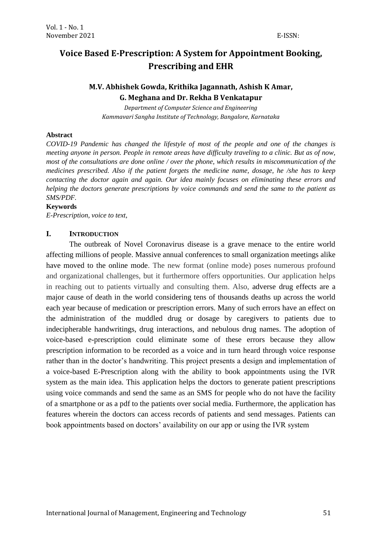# **Voice Based E-Prescription: A System for Appointment Booking, Prescribing and EHR**

# **M.V. Abhishek Gowda, Krithika Jagannath, Ashish K Amar, G. Meghana and Dr. Rekha B Venkatapur**

*Department of Computer Science and Engineering Kammavari Sangha Institute of Technology, Bangalore, Karnataka*

#### **Abstract**

*COVID-19 Pandemic has changed the lifestyle of most of the people and one of the changes is meeting anyone in person. People in remote areas have difficulty traveling to a clinic. But as of now, most of the consultations are done online / over the phone, which results in miscommunication of the medicines prescribed. Also if the patient forgets the medicine name, dosage, he /she has to keep contacting the doctor again and again. Our idea mainly focuses on eliminating these errors and helping the doctors generate prescriptions by voice commands and send the same to the patient as SMS/PDF.*

#### **Keywords**

*E-Prescription, voice to text,* 

### **I. INTRODUCTION**

The outbreak of Novel Coronavirus disease is a grave menace to the entire world affecting millions of people. Massive annual conferences to small organization meetings alike have moved to the online mode. The new format (online mode) poses numerous profound and organizational challenges, but it furthermore offers opportunities. Our application helps in reaching out to patients virtually and consulting them. Also, adverse drug effects are a major cause of death in the world considering tens of thousands deaths up across the world each year because of medication or prescription errors. Many of such errors have an effect on the administration of the muddled drug or dosage by caregivers to patients due to indecipherable handwritings, drug interactions, and nebulous drug names. The adoption of voice-based e-prescription could eliminate some of these errors because they allow prescription information to be recorded as a voice and in turn heard through voice response rather than in the doctor's handwriting. This project presents a design and implementation of a voice-based E-Prescription along with the ability to book appointments using the IVR system as the main idea. This application helps the doctors to generate patient prescriptions using voice commands and send the same as an SMS for people who do not have the facility of a smartphone or as a pdf to the patients over social media. Furthermore, the application has features wherein the doctors can access records of patients and send messages. Patients can book appointments based on doctors' availability on our app or using the IVR system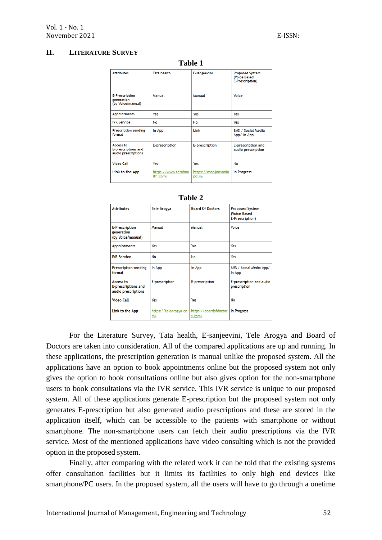### **II. LITERATURE SURVEY**

| . univ .                                                       |                                 |                                |                                                                   |  |  |
|----------------------------------------------------------------|---------------------------------|--------------------------------|-------------------------------------------------------------------|--|--|
| <b>Attributes</b>                                              | <b>Tata health</b>              | E-sanjeevini                   | <b>Proposed System</b><br><b>(Voice Based)</b><br>E-Prescription) |  |  |
| <b>E-Prescription</b><br>generation<br>(by Voice/manual)       | Manual                          | Manual                         | Voice                                                             |  |  |
| <b>Appointments</b>                                            | Yes                             | Yes                            | Yes                                                               |  |  |
| <b>IVR</b> Service                                             | <b>No</b>                       | No                             | Yes                                                               |  |  |
| <b>Prescription sending</b><br>format                          | In App                          | Link                           | SMS / Social Media<br>App/ In App                                 |  |  |
| <b>Access to</b><br>E-prescriptions and<br>audio prescriptions | E-prescription                  | E-prescription                 | E-prescription and<br>audio prescription                          |  |  |
| <b>Video Call</b>                                              | Yes                             | Yes                            | No                                                                |  |  |
| Link to the App                                                | https://www.tatahea<br>lth.com/ | https://esanjeevanio<br>pd.in/ | In Progress                                                       |  |  |

**Table 1**

| <b>Attributes</b>                                              | <b>Tele Arogya</b>          | <b>Board Of Doctors</b>         | <b>Proposed System</b><br>(Voice Based<br>E-Prescription) |  |  |
|----------------------------------------------------------------|-----------------------------|---------------------------------|-----------------------------------------------------------|--|--|
| <b>E-Prescription</b><br>generation<br>(by Voice/manual)       | Manual                      | Manual                          | Voice                                                     |  |  |
| <b>Appointments</b>                                            | Yes                         | Yes                             | Yes                                                       |  |  |
| <b>IVR</b> Service                                             | No                          | No                              | Yes                                                       |  |  |
| <b>Prescription sending</b><br>format                          | In App                      | In App                          | SMS / Social Media App/<br>In App                         |  |  |
| <b>Access to</b><br>E-prescriptions and<br>audio prescriptions | E-prescription              | E-prescription                  | E-prescription and audio<br>prescription                  |  |  |
| <b>Video Call</b>                                              | Yes                         | Yes                             | No                                                        |  |  |
| Link to the App                                                | https://telearogya.co<br>m/ | https://boardofdoctor<br>s.com/ | In Progress                                               |  |  |

| ۱nı<br>r<br>n |  |
|---------------|--|
|---------------|--|

For the Literature Survey, Tata health, E-sanjeevini, Tele Arogya and Board of Doctors are taken into consideration. All of the compared applications are up and running. In these applications, the prescription generation is manual unlike the proposed system. All the applications have an option to book appointments online but the proposed system not only gives the option to book consultations online but also gives option for the non-smartphone users to book consultations via the IVR service. This IVR service is unique to our proposed system. All of these applications generate E-prescription but the proposed system not only generates E-prescription but also generated audio prescriptions and these are stored in the application itself, which can be accessible to the patients with smartphone or without smartphone. The non-smartphone users can fetch their audio prescriptions via the IVR service. Most of the mentioned applications have video consulting which is not the provided option in the proposed system.

Finally, after comparing with the related work it can be told that the existing systems offer consultation facilities but it limits its facilities to only high end devices like smartphone/PC users. In the proposed system, all the users will have to go through a onetime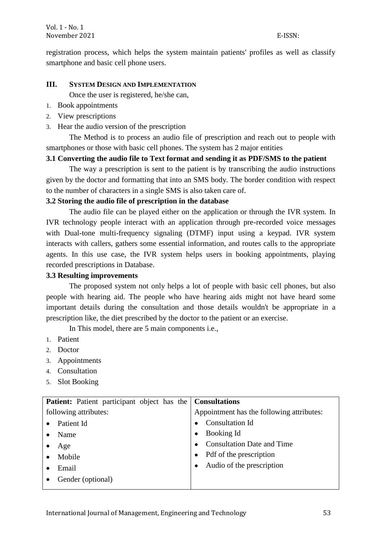registration process, which helps the system maintain patients' profiles as well as classify smartphone and basic cell phone users.

### **III. SYSTEM DESIGN AND IMPLEMENTATION**

Once the user is registered, he/she can,

- 1. Book appointments
- 2. View prescriptions
- 3. Hear the audio version of the prescription

The Method is to process an audio file of prescription and reach out to people with smartphones or those with basic cell phones. The system has 2 major entities

# **3.1 Converting the audio file to Text format and sending it as PDF/SMS to the patient**

The way a prescription is sent to the patient is by transcribing the audio instructions given by the doctor and formatting that into an SMS body. The border condition with respect to the number of characters in a single SMS is also taken care of.

# **3.2 Storing the audio file of prescription in the database**

The audio file can be played either on the application or through the IVR system. In IVR technology people interact with an application through pre-recorded voice messages with Dual-tone multi-frequency signaling (DTMF) input using a keypad. IVR system interacts with callers, gathers some essential information, and routes calls to the appropriate agents. In this use case, the IVR system helps users in booking appointments, playing recorded prescriptions in Database.

## **3.3 Resulting improvements**

The proposed system not only helps a lot of people with basic cell phones, but also people with hearing aid. The people who have hearing aids might not have heard some important details during the consultation and those details wouldn't be appropriate in a prescription like, the diet prescribed by the doctor to the patient or an exercise.

In This model, there are 5 main components i.e.,

- 1. Patient
- 2. Doctor
- 3. Appointments
- 4. Consultation
- 5. Slot Booking

| <b>Patient:</b> Patient participant object has the   Consultations |                                           |  |  |
|--------------------------------------------------------------------|-------------------------------------------|--|--|
| following attributes:                                              | Appointment has the following attributes: |  |  |
| Patient Id                                                         | <b>Consultation Id</b>                    |  |  |
| Name                                                               | Booking Id<br>$\bullet$                   |  |  |
| Age                                                                | <b>Consultation Date and Time</b>         |  |  |
| Mobile                                                             | Pdf of the prescription                   |  |  |
| Email                                                              | Audio of the prescription<br>$\bullet$    |  |  |
| Gender (optional)                                                  |                                           |  |  |
|                                                                    |                                           |  |  |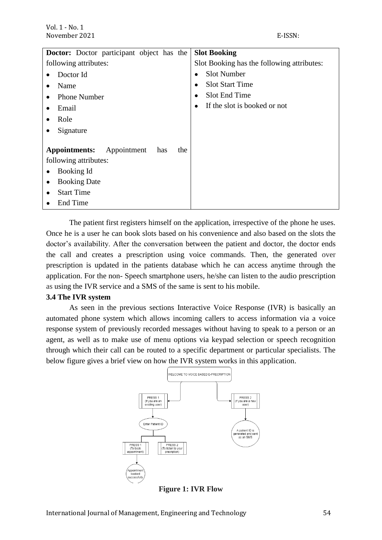| <b>Doctor:</b> Doctor participant object has the | <b>Slot Booking</b>                        |
|--------------------------------------------------|--------------------------------------------|
| following attributes:                            | Slot Booking has the following attributes: |
| Doctor Id                                        | <b>Slot Number</b>                         |
| Name                                             | <b>Slot Start Time</b>                     |
| <b>Phone Number</b>                              | Slot End Time                              |
| Email                                            | If the slot is booked or not               |
| Role                                             |                                            |
| Signature                                        |                                            |
| Appointments:<br>Appointment<br>has<br>the       |                                            |
| following attributes:                            |                                            |
| Booking Id                                       |                                            |
| <b>Booking Date</b>                              |                                            |
| <b>Start Time</b>                                |                                            |
| End Time                                         |                                            |

The patient first registers himself on the application, irrespective of the phone he uses. Once he is a user he can book slots based on his convenience and also based on the slots the doctor's availability. After the conversation between the patient and doctor, the doctor ends the call and creates a prescription using voice commands. Then, the generated over prescription is updated in the patients database which he can access anytime through the application. For the non- Speech smartphone users, he/she can listen to the audio prescription as using the IVR service and a SMS of the same is sent to his mobile.

#### **3.4 The IVR system**

As seen in the previous sections Interactive Voice Response (IVR) is basically an automated phone system which allows incoming callers to access information via a voice response system of previously recorded messages without having to speak to a person or an agent, as well as to make use of menu options via keypad selection or speech recognition through which their call can be routed to a specific department or particular specialists. The below figure gives a brief view on how the IVR system works in this application.



**Figure 1: IVR Flow**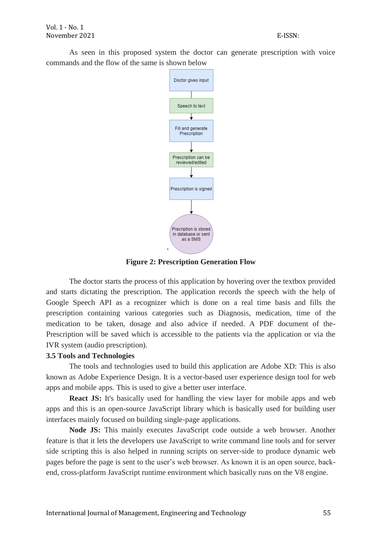As seen in this proposed system the doctor can generate prescription with voice commands and the flow of the same is shown below



**Figure 2: Prescription Generation Flow**

The doctor starts the process of this application by hovering over the textbox provided and starts dictating the prescription. The application records the speech with the help of Google Speech API as a recognizer which is done on a real time basis and fills the prescription containing various categories such as Diagnosis, medication, time of the medication to be taken, dosage and also advice if needed. A PDF document of the-Prescription will be saved which is accessible to the patients via the application or via the IVR system (audio prescription).

#### **3.5 Tools and Technologies**

The tools and technologies used to build this application are Adobe XD: This is also known as Adobe Experience Design. It is a vector-based user experience design tool for web apps and mobile apps. This is used to give a better user interface.

**React JS:** It's basically used for handling the view layer for mobile apps and web apps and this is an open-source JavaScript library which is basically used for building user interfaces mainly focused on building single-page applications.

**Node JS:** This mainly executes JavaScript code outside a web browser. Another feature is that it lets the developers use JavaScript to write command line tools and for server side scripting this is also helped in running scripts on server-side to produce dynamic web pages before the page is sent to the user's web browser. As known it is an open source, backend, cross-platform JavaScript runtime environment which basically runs on the V8 engine.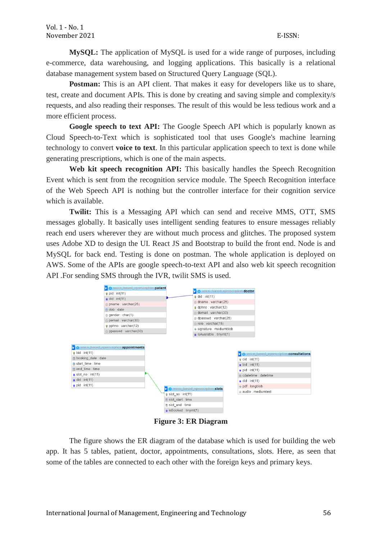**MySQL:** The application of MySQL is used for a wide range of purposes, including e-commerce, data warehousing, and logging applications. This basically is a relational database management system based on Structured Query Language (SQL).

**Postman:** This is an API client. That makes it easy for developers like us to share, test, create and document APIs. This is done by creating and saving simple and complexity/s requests, and also reading their responses. The result of this would be less tedious work and a more efficient process.

**Google speech to text API:** The Google Speech API which is popularly known as Cloud Speech-to-Text which is sophisticated tool that uses Google's machine learning technology to convert **voice to text**. In this particular application speech to text is done while generating prescriptions, which is one of the main aspects.

**Web kit speech recognition API:** This basically handles the Speech Recognition Event which is sent from the recognition service module. The Speech Recognition interface of the Web Speech API is nothing but the controller interface for their cognition service which is available.

**Twilit:** This is a Messaging API which can send and receive MMS, OTT, SMS messages globally. It basically uses intelligent sending features to ensure messages reliably reach end users wherever they are without much process and glitches. The proposed system uses Adobe XD to design the UI. React JS and Bootstrap to build the front end. Node is and MySQL for back end. Testing is done on postman. The whole application is deployed on AWS. Some of the APIs are google speech-to-text API and also web kit speech recognition API .For sending SMS through the IVR, twilit SMS is used.



**Figure 3: ER Diagram**

The figure shows the ER diagram of the database which is used for building the web app. It has 5 tables, patient, doctor, appointments, consultations, slots. Here, as seen that some of the tables are connected to each other with the foreign keys and primary keys.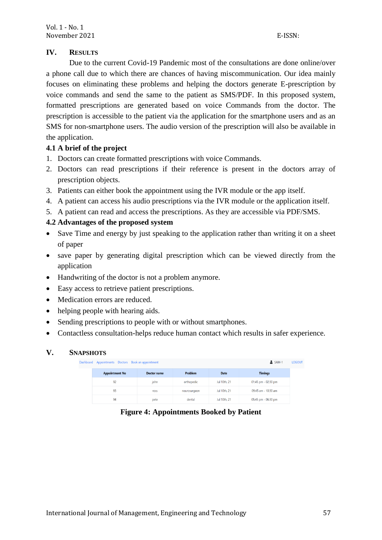## **IV. RESULTS**

Due to the current Covid-19 Pandemic most of the consultations are done online/over a phone call due to which there are chances of having miscommunication. Our idea mainly focuses on eliminating these problems and helping the doctors generate E-prescription by voice commands and send the same to the patient as SMS/PDF. In this proposed system, formatted prescriptions are generated based on voice Commands from the doctor. The prescription is accessible to the patient via the application for the smartphone users and as an SMS for non-smartphone users. The audio version of the prescription will also be available in the application.

# **4.1 A brief of the project**

- 1. Doctors can create formatted prescriptions with voice Commands.
- 2. Doctors can read prescriptions if their reference is present in the doctors array of prescription objects.
- 3. Patients can either book the appointment using the IVR module or the app itself.
- 4. A patient can access his audio prescriptions via the IVR module or the application itself.
- 5. A patient can read and access the prescriptions. As they are accessible via PDF/SMS.

# **4.2 Advantages of the proposed system**

- Save Time and energy by just speaking to the application rather than writing it on a sheet of paper
- save paper by generating digital prescription which can be viewed directly from the application
- Handwriting of the doctor is not a problem anymore.
- Easy access to retrieve patient prescriptions.
- Medication errors are reduced.
- helping people with hearing aids.
- Sending prescriptions to people with or without smartphones.
- Contactless consultation-helps reduce human contact which results in safer experience.

## **V. SNAPSHOTS**

Dash

| Appointments Doctors Book an appointment<br>oard |                    |              |              | $SAM-1$             |
|--------------------------------------------------|--------------------|--------------|--------------|---------------------|
| <b>Appointment No</b>                            | <b>Doctor name</b> | Problem      | <b>Date</b>  | <b>Timings</b>      |
| 92                                               | john               | orthopedic   | Jul 10th, 21 | 01:45 pm - 02:30 pm |
| 93                                               | ross               | neurosurgeon | Jul 10th, 21 | 09:45 am - 10:30 am |
| 94                                               | pete               | dental       | Jul 10th, 21 | 05:45 pm - 06:30 pm |

**Figure 4: Appointments Booked by Patient**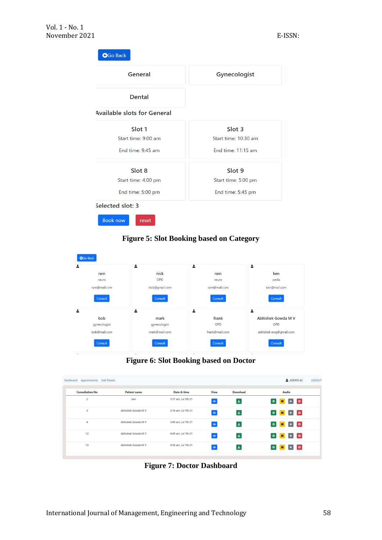

# **Figure 5: Slot Booking based on Category**



#### **Figure 6: Slot Booking based on Doctor**

| Appointments<br><b>Add Patient</b><br>Dashboard |                     |                     |           |                 | $ADMIN-62$<br>LOGOUT                   |
|-------------------------------------------------|---------------------|---------------------|-----------|-----------------|----------------------------------------|
| <b>Consultation No</b>                          | <b>Patient name</b> | Date & time         | View      | <b>Download</b> | Audio                                  |
| $\overline{2}$                                  | ram                 | 3:17 am, Jul 5th 21 | $\odot$   | 医               | $\bullet$<br>$\bullet$                 |
| 3                                               | Abhishek Gowda M V  | 2:14 am, Jul 7th 21 | $\bullet$ | 医               | $\bullet$<br>$\circ$                   |
| $\overline{4}$                                  | Abhishek Gowda M V  | 3:40 am, Jul 7th 21 | $\bullet$ | 医               | $\bullet$<br>$\bullet$                 |
| 12                                              | Abhishek Gowda M V  | 4:49 am, Jul 7th 21 | $\bullet$ | 医               | $\bullet$<br>$\bullet$<br>$\mathbf{u}$ |
| 13                                              | Abhishek Gowda M V  | 4:58 am, Jul 7th 21 | $\bullet$ | 医               | $\bullet$<br>$\bullet$                 |
|                                                 |                     |                     |           |                 |                                        |

**Figure 7: Doctor Dashboard**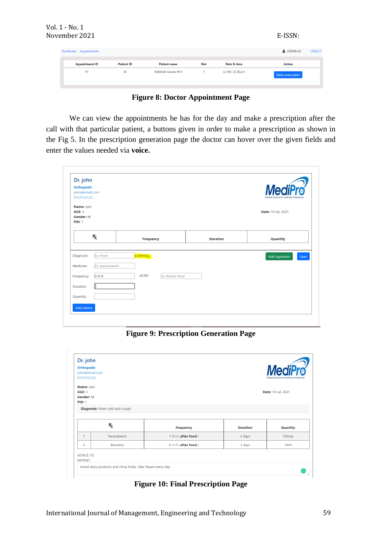| Vol. 1 - No. 1<br>November 2021 |                   |                     |                |                   | E-ISSN:           |               |
|---------------------------------|-------------------|---------------------|----------------|-------------------|-------------------|---------------|
| Dashboard Appointments          |                   |                     |                |                   | $ADMIN-62$        | <b>LOGOUT</b> |
| <b>Appointment ID</b>           | <b>Patient ID</b> | <b>Patient name</b> | Slot           | Date & time       | <b>Action</b>     |               |
| 91                              | 60                | Abhishek Gowda M V  | $\overline{7}$ | Jul 8th, 02:30 pm | Make prescription |               |
|                                 |                   |                     |                |                   |                   |               |

**Figure 8: Doctor Appointment Page**

We can view the appointments he has for the day and make a prescription after the call with that particular patient, a buttons given in order to make a prescription as shown in the Fig 5. In the prescription generation page the doctor can hover over the given fields and enter the values needed via **voice.**

| Orthopedic<br>john@email.com<br>9123132122               |                  |                 |                 | <b>MediPro</b><br>Software Solutions for Healthcare Professionals |      |
|----------------------------------------------------------|------------------|-----------------|-----------------|-------------------------------------------------------------------|------|
| Name: sam<br><b>AGE: 3</b><br>Gender: M<br><b>PID: 1</b> |                  |                 |                 | Date: 10 Jul, 2021                                                |      |
| $\mathbf{R}_{\mathbf{X}}$                                | <b>Frequency</b> |                 | <b>Duration</b> | Quantity                                                          |      |
| Diagnosis:<br>Ex: Fever                                  | Listening        |                 |                 | Add signature                                                     | Save |
|                                                          |                  |                 |                 |                                                                   |      |
| Ex: paracetamol<br>Medicine:                             |                  |                 |                 |                                                                   |      |
| $0 - 0 - 0$<br>Frequency:                                | AF/BF:           | Ex: Before food |                 |                                                                   |      |
| Duration:                                                |                  |                 |                 |                                                                   |      |

**Figure 9: Prescription Generation Page**

| Dr. john<br><b>Orthopedic</b><br>john@email.com<br>9123132122 |                                 |                      |                 | <b>MediPro</b><br>Software Solutions for Healthcare Profession. |
|---------------------------------------------------------------|---------------------------------|----------------------|-----------------|-----------------------------------------------------------------|
| Name: sam                                                     |                                 |                      |                 |                                                                 |
| <b>AGE: 3</b><br>Gender: M                                    |                                 |                      |                 | Date: 10 Jul, 2021                                              |
| <b>PID: 1</b>                                                 |                                 |                      |                 |                                                                 |
|                                                               | Diagnosis: Fever cold and cough |                      |                 |                                                                 |
|                                                               |                                 |                      |                 |                                                                 |
|                                                               | $\mathbf{R}_{\mathbf{X}}$       | Frequency            | <b>Duration</b> | Quantity                                                        |
|                                                               | Paracetamol                     | $1-0-0$ (after food) | 2 days          | 500mg                                                           |
| 1                                                             |                                 |                      |                 |                                                                 |
| $\overline{c}$                                                | Benadryl                        | $0-1-0$ (after food) | 3 days          | 10 <sub>ml</sub>                                                |

**Figure 10: Final Prescription Page**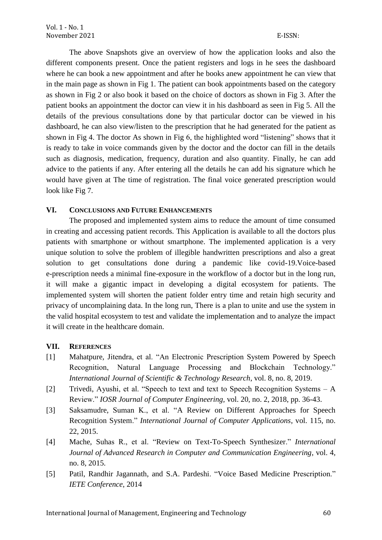The above Snapshots give an overview of how the application looks and also the different components present. Once the patient registers and logs in he sees the dashboard where he can book a new appointment and after he books anew appointment he can view that in the main page as shown in Fig 1. The patient can book appointments based on the category as shown in Fig 2 or also book it based on the choice of doctors as shown in Fig 3. After the patient books an appointment the doctor can view it in his dashboard as seen in Fig 5. All the details of the previous consultations done by that particular doctor can be viewed in his dashboard, he can also view/listen to the prescription that he had generated for the patient as shown in Fig 4. The doctor As shown in Fig 6, the highlighted word "listening" shows that it is ready to take in voice commands given by the doctor and the doctor can fill in the details such as diagnosis, medication, frequency, duration and also quantity. Finally, he can add advice to the patients if any. After entering all the details he can add his signature which he would have given at The time of registration. The final voice generated prescription would look like Fig 7.

# **VI. CONCLUSIONS AND FUTURE ENHANCEMENTS**

The proposed and implemented system aims to reduce the amount of time consumed in creating and accessing patient records. This Application is available to all the doctors plus patients with smartphone or without smartphone. The implemented application is a very unique solution to solve the problem of illegible handwritten prescriptions and also a great solution to get consultations done during a pandemic like covid-19.Voice-based e-prescription needs a minimal fine-exposure in the workflow of a doctor but in the long run, it will make a gigantic impact in developing a digital ecosystem for patients. The implemented system will shorten the patient folder entry time and retain high security and privacy of uncomplaining data. In the long run, There is a plan to unite and use the system in the valid hospital ecosystem to test and validate the implementation and to analyze the impact it will create in the healthcare domain.

## **VII. REFERENCES**

- [1] Mahatpure, Jitendra, et al. "An Electronic Prescription System Powered by Speech Recognition, Natural Language Processing and Blockchain Technology." *International Journal of Scientific & Technology Research*, vol. 8, no. 8, 2019.
- [2] Trivedi, Ayushi, et al. "Speech to text and text to Speech Recognition Systems A Review." *IOSR Journal of Computer Engineering,* vol. 20, no. 2, 2018, pp. 36-43.
- [3] Saksamudre, Suman K., et al. "A Review on Different Approaches for Speech Recognition System." *International Journal of Computer Applications*, vol. 115, no. 22, 2015.
- [4] Mache, Suhas R., et al. "Review on Text-To-Speech Synthesizer." *International Journal of Advanced Research in Computer and Communication Engineering*, vol. 4, no. 8, 2015.
- [5] Patil, Randhir Jagannath, and S.A. Pardeshi. "Voice Based Medicine Prescription." *IETE Conference*, 2014